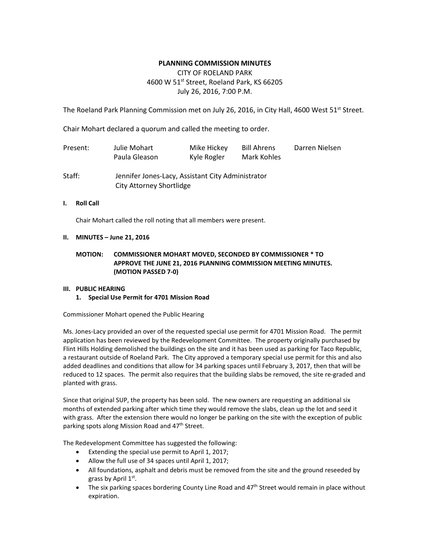# **PLANNING COMMISSION MINUTES**

# CITY OF ROELAND PARK 4600 W 51<sup>st</sup> Street, Roeland Park, KS 66205 July 26, 2016, 7:00 P.M.

The Roeland Park Planning Commission met on July 26, 2016, in City Hall, 4600 West 51<sup>st</sup> Street.

Chair Mohart declared a quorum and called the meeting to order.

City Attorney Shortlidge

| Present: | Julie Mohart<br>Paula Gleason                     | Mike Hickey<br>Kyle Rogler | Bill Ahrens<br>Mark Kohles | Darren Nielsen |
|----------|---------------------------------------------------|----------------------------|----------------------------|----------------|
| Staff:   | Jennifer Jones-Lacy, Assistant City Administrator |                            |                            |                |

# **I. Roll Call**

Chair Mohart called the roll noting that all members were present.

# **II. MINUTES – June 21, 2016**

# **MOTION: COMMISSIONER MOHART MOVED, SECONDED BY COMMISSIONER \* TO APPROVE THE JUNE 21, 2016 PLANNING COMMISSION MEETING MINUTES. (MOTION PASSED 7-0)**

# **III. PUBLIC HEARING**

# **1. Special Use Permit for 4701 Mission Road**

Commissioner Mohart opened the Public Hearing

Ms. Jones-Lacy provided an over of the requested special use permit for 4701 Mission Road. The permit application has been reviewed by the Redevelopment Committee. The property originally purchased by Flint Hills Holding demolished the buildings on the site and it has been used as parking for Taco Republic, a restaurant outside of Roeland Park. The City approved a temporary special use permit for this and also added deadlines and conditions that allow for 34 parking spaces until February 3, 2017, then that will be reduced to 12 spaces. The permit also requires that the building slabs be removed, the site re-graded and planted with grass.

Since that original SUP, the property has been sold. The new owners are requesting an additional six months of extended parking after which time they would remove the slabs, clean up the lot and seed it with grass. After the extension there would no longer be parking on the site with the exception of public parking spots along Mission Road and 47<sup>th</sup> Street.

The Redevelopment Committee has suggested the following:

- Extending the special use permit to April 1, 2017;
- Allow the full use of 34 spaces until April 1, 2017;
- All foundations, asphalt and debris must be removed from the site and the ground reseeded by grass by April 1st.
- The six parking spaces bordering County Line Road and 47<sup>th</sup> Street would remain in place without expiration.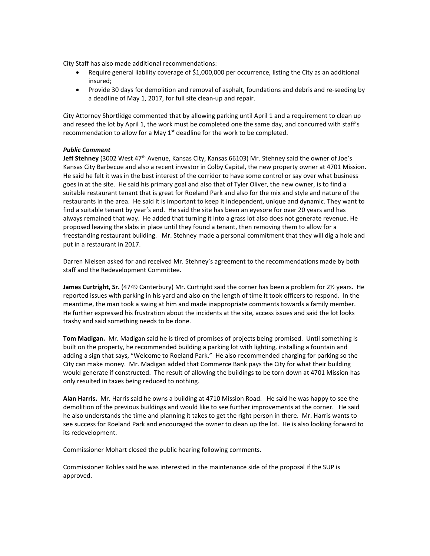City Staff has also made additional recommendations:

- Require general liability coverage of \$1,000,000 per occurrence, listing the City as an additional insured;
- Provide 30 days for demolition and removal of asphalt, foundations and debris and re-seeding by a deadline of May 1, 2017, for full site clean-up and repair.

City Attorney Shortlidge commented that by allowing parking until April 1 and a requirement to clean up and reseed the lot by April 1, the work must be completed one the same day, and concurred with staff's recommendation to allow for a May  $1<sup>st</sup>$  deadline for the work to be completed.

#### *Public Comment*

**Jeff Stehney** (3002 West 47th Avenue, Kansas City, Kansas 66103) Mr. Stehney said the owner of Joe's Kansas City Barbecue and also a recent investor in Colby Capital, the new property owner at 4701 Mission. He said he felt it was in the best interest of the corridor to have some control or say over what business goes in at the site. He said his primary goal and also that of Tyler Oliver, the new owner, is to find a suitable restaurant tenant that is great for Roeland Park and also for the mix and style and nature of the restaurants in the area. He said it is important to keep it independent, unique and dynamic. They want to find a suitable tenant by year's end. He said the site has been an eyesore for over 20 years and has always remained that way. He added that turning it into a grass lot also does not generate revenue. He proposed leaving the slabs in place until they found a tenant, then removing them to allow for a freestanding restaurant building. Mr. Stehney made a personal commitment that they will dig a hole and put in a restaurant in 2017.

Darren Nielsen asked for and received Mr. Stehney's agreement to the recommendations made by both staff and the Redevelopment Committee.

**James Curtright, Sr.** (4749 Canterbury) Mr. Curtright said the corner has been a problem for 2½ years. He reported issues with parking in his yard and also on the length of time it took officers to respond. In the meantime, the man took a swing at him and made inappropriate comments towards a family member. He further expressed his frustration about the incidents at the site, access issues and said the lot looks trashy and said something needs to be done.

**Tom Madigan.** Mr. Madigan said he is tired of promises of projects being promised. Until something is built on the property, he recommended building a parking lot with lighting, installing a fountain and adding a sign that says, "Welcome to Roeland Park." He also recommended charging for parking so the City can make money. Mr. Madigan added that Commerce Bank pays the City for what their building would generate if constructed. The result of allowing the buildings to be torn down at 4701 Mission has only resulted in taxes being reduced to nothing.

**Alan Harris.** Mr. Harris said he owns a building at 4710 Mission Road. He said he was happy to see the demolition of the previous buildings and would like to see further improvements at the corner. He said he also understands the time and planning it takes to get the right person in there. Mr. Harris wants to see success for Roeland Park and encouraged the owner to clean up the lot. He is also looking forward to its redevelopment.

Commissioner Mohart closed the public hearing following comments.

Commissioner Kohles said he was interested in the maintenance side of the proposal if the SUP is approved.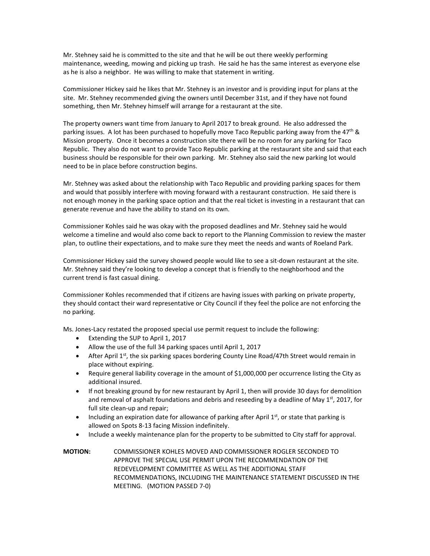Mr. Stehney said he is committed to the site and that he will be out there weekly performing maintenance, weeding, mowing and picking up trash. He said he has the same interest as everyone else as he is also a neighbor. He was willing to make that statement in writing.

Commissioner Hickey said he likes that Mr. Stehney is an investor and is providing input for plans at the site. Mr. Stehney recommended giving the owners until December 31st, and if they have not found something, then Mr. Stehney himself will arrange for a restaurant at the site.

The property owners want time from January to April 2017 to break ground. He also addressed the parking issues. A lot has been purchased to hopefully move Taco Republic parking away from the  $47<sup>th</sup>$  & Mission property. Once it becomes a construction site there will be no room for any parking for Taco Republic. They also do not want to provide Taco Republic parking at the restaurant site and said that each business should be responsible for their own parking. Mr. Stehney also said the new parking lot would need to be in place before construction begins.

Mr. Stehney was asked about the relationship with Taco Republic and providing parking spaces for them and would that possibly interfere with moving forward with a restaurant construction. He said there is not enough money in the parking space option and that the real ticket is investing in a restaurant that can generate revenue and have the ability to stand on its own.

Commissioner Kohles said he was okay with the proposed deadlines and Mr. Stehney said he would welcome a timeline and would also come back to report to the Planning Commission to review the master plan, to outline their expectations, and to make sure they meet the needs and wants of Roeland Park.

Commissioner Hickey said the survey showed people would like to see a sit-down restaurant at the site. Mr. Stehney said they're looking to develop a concept that is friendly to the neighborhood and the current trend is fast casual dining.

Commissioner Kohles recommended that if citizens are having issues with parking on private property, they should contact their ward representative or City Council if they feel the police are not enforcing the no parking.

Ms. Jones-Lacy restated the proposed special use permit request to include the following:

- Extending the SUP to April 1, 2017
- Allow the use of the full 34 parking spaces until April 1, 2017
- After April 1st, the six parking spaces bordering County Line Road/47th Street would remain in place without expiring.
- Require general liability coverage in the amount of \$1,000,000 per occurrence listing the City as additional insured.
- If not breaking ground by for new restaurant by April 1, then will provide 30 days for demolition and removal of asphalt foundations and debris and reseeding by a deadline of May  $1<sup>st</sup>$ , 2017, for full site clean-up and repair;
- Including an expiration date for allowance of parking after April 1<sup>st</sup>, or state that parking is allowed on Spots 8-13 facing Mission indefinitely.
- Include a weekly maintenance plan for the property to be submitted to City staff for approval.

**MOTION:** COMMISSIONER KOHLES MOVED AND COMMISSIONER ROGLER SECONDED TO APPROVE THE SPECIAL USE PERMIT UPON THE RECOMMENDATION OF THE REDEVELOPMENT COMMITTEE AS WELL AS THE ADDITIONAL STAFF RECOMMENDATIONS, INCLUDING THE MAINTENANCE STATEMENT DISCUSSED IN THE MEETING. (MOTION PASSED 7-0)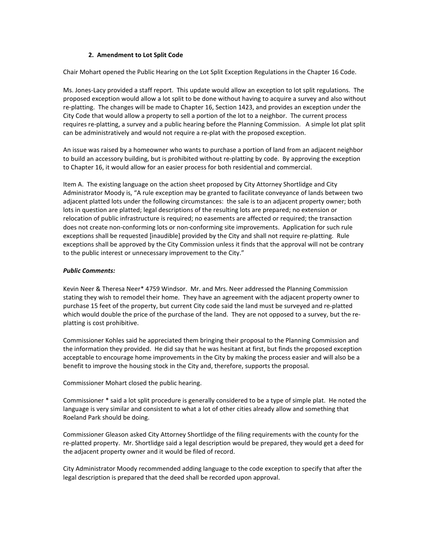#### **2. Amendment to Lot Split Code**

Chair Mohart opened the Public Hearing on the Lot Split Exception Regulations in the Chapter 16 Code.

Ms. Jones-Lacy provided a staff report. This update would allow an exception to lot split regulations. The proposed exception would allow a lot split to be done without having to acquire a survey and also without re-platting. The changes will be made to Chapter 16, Section 1423, and provides an exception under the City Code that would allow a property to sell a portion of the lot to a neighbor. The current process requires re-platting, a survey and a public hearing before the Planning Commission. A simple lot plat split can be administratively and would not require a re-plat with the proposed exception.

An issue was raised by a homeowner who wants to purchase a portion of land from an adjacent neighbor to build an accessory building, but is prohibited without re-platting by code. By approving the exception to Chapter 16, it would allow for an easier process for both residential and commercial.

Item A. The existing language on the action sheet proposed by City Attorney Shortlidge and City Administrator Moody is, "A rule exception may be granted to facilitate conveyance of lands between two adjacent platted lots under the following circumstances: the sale is to an adjacent property owner; both lots in question are platted; legal descriptions of the resulting lots are prepared; no extension or relocation of public infrastructure is required; no easements are affected or required; the transaction does not create non-conforming lots or non-conforming site improvements. Application for such rule exceptions shall be requested [inaudible] provided by the City and shall not require re-platting. Rule exceptions shall be approved by the City Commission unless it finds that the approval will not be contrary to the public interest or unnecessary improvement to the City."

#### *Public Comments:*

Kevin Neer & Theresa Neer\* 4759 Windsor. Mr. and Mrs. Neer addressed the Planning Commission stating they wish to remodel their home. They have an agreement with the adjacent property owner to purchase 15 feet of the property, but current City code said the land must be surveyed and re-platted which would double the price of the purchase of the land. They are not opposed to a survey, but the replatting is cost prohibitive.

Commissioner Kohles said he appreciated them bringing their proposal to the Planning Commission and the information they provided. He did say that he was hesitant at first, but finds the proposed exception acceptable to encourage home improvements in the City by making the process easier and will also be a benefit to improve the housing stock in the City and, therefore, supports the proposal.

Commissioner Mohart closed the public hearing.

Commissioner \* said a lot split procedure is generally considered to be a type of simple plat. He noted the language is very similar and consistent to what a lot of other cities already allow and something that Roeland Park should be doing.

Commissioner Gleason asked City Attorney Shortlidge of the filing requirements with the county for the re-platted property. Mr. Shortlidge said a legal description would be prepared, they would get a deed for the adjacent property owner and it would be filed of record.

City Administrator Moody recommended adding language to the code exception to specify that after the legal description is prepared that the deed shall be recorded upon approval.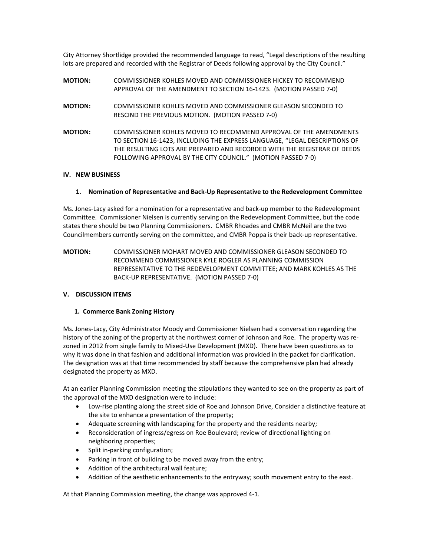City Attorney Shortlidge provided the recommended language to read, "Legal descriptions of the resulting lots are prepared and recorded with the Registrar of Deeds following approval by the City Council."

| <b>MOTION:</b> | COMMISSIONER KOHLES MOVED AND COMMISSIONER HICKEY TO RECOMMEND<br>APPROVAL OF THE AMENDMENT TO SECTION 16-1423. (MOTION PASSED 7-0)             |
|----------------|-------------------------------------------------------------------------------------------------------------------------------------------------|
| <b>MOTION:</b> | COMMISSIONER KOHLES MOVED AND COMMISSIONER GLEASON SECONDED TO<br>RESCIND THE PREVIOUS MOTION. (MOTION PASSED 7-0)                              |
| <b>MOTION:</b> | COMMISSIONER KOHLES MOVED TO RECOMMEND APPROVAL OF THE AMENDMENTS<br>TO SECTION 16-1423. INCLUDING THE EXPRESS LANGUAGE. "LEGAL DESCRIPTIONS OF |
|                | THE RESULTING LOTS ARE PREPARED AND RECORDED WITH THE REGISTRAR OF DEEDS<br>FOLLOWING APPROVAL BY THE CITY COUNCIL." (MOTION PASSED 7-0)        |

#### **IV. NEW BUSINESS**

#### **1. Nomination of Representative and Back-Up Representative to the Redevelopment Committee**

Ms. Jones-Lacy asked for a nomination for a representative and back-up member to the Redevelopment Committee. Commissioner Nielsen is currently serving on the Redevelopment Committee, but the code states there should be two Planning Commissioners. CMBR Rhoades and CMBR McNeil are the two Councilmembers currently serving on the committee, and CMBR Poppa is their back-up representative.

**MOTION:** COMMISSIONER MOHART MOVED AND COMMISSIONER GLEASON SECONDED TO RECOMMEND COMMISSIONER KYLE ROGLER AS PLANNING COMMISSION REPRESENTATIVE TO THE REDEVELOPMENT COMMITTEE; AND MARK KOHLES AS THE BACK-UP REPRESENTATIVE. (MOTION PASSED 7-0)

#### **V. DISCUSSION ITEMS**

#### **1. Commerce Bank Zoning History**

Ms. Jones-Lacy, City Administrator Moody and Commissioner Nielsen had a conversation regarding the history of the zoning of the property at the northwest corner of Johnson and Roe. The property was rezoned in 2012 from single family to Mixed-Use Development (MXD). There have been questions as to why it was done in that fashion and additional information was provided in the packet for clarification. The designation was at that time recommended by staff because the comprehensive plan had already designated the property as MXD.

At an earlier Planning Commission meeting the stipulations they wanted to see on the property as part of the approval of the MXD designation were to include:

- Low-rise planting along the street side of Roe and Johnson Drive, Consider a distinctive feature at the site to enhance a presentation of the property;
- Adequate screening with landscaping for the property and the residents nearby;
- Reconsideration of ingress/egress on Roe Boulevard; review of directional lighting on neighboring properties;
- Split in-parking configuration;
- Parking in front of building to be moved away from the entry;
- Addition of the architectural wall feature;
- Addition of the aesthetic enhancements to the entryway; south movement entry to the east.

At that Planning Commission meeting, the change was approved 4-1.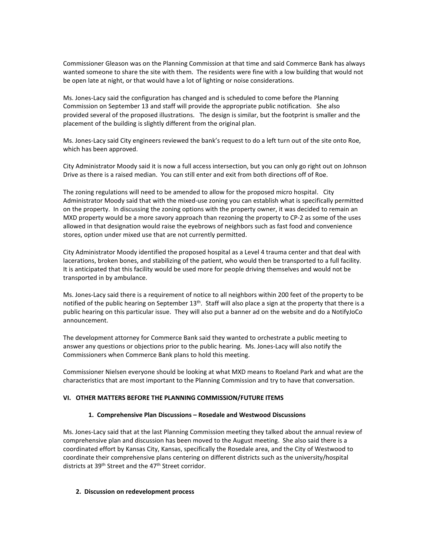Commissioner Gleason was on the Planning Commission at that time and said Commerce Bank has always wanted someone to share the site with them. The residents were fine with a low building that would not be open late at night, or that would have a lot of lighting or noise considerations.

Ms. Jones-Lacy said the configuration has changed and is scheduled to come before the Planning Commission on September 13 and staff will provide the appropriate public notification. She also provided several of the proposed illustrations. The design is similar, but the footprint is smaller and the placement of the building is slightly different from the original plan.

Ms. Jones-Lacy said City engineers reviewed the bank's request to do a left turn out of the site onto Roe, which has been approved.

City Administrator Moody said it is now a full access intersection, but you can only go right out on Johnson Drive as there is a raised median. You can still enter and exit from both directions off of Roe.

The zoning regulations will need to be amended to allow for the proposed micro hospital. City Administrator Moody said that with the mixed-use zoning you can establish what is specifically permitted on the property. In discussing the zoning options with the property owner, it was decided to remain an MXD property would be a more savory approach than rezoning the property to CP-2 as some of the uses allowed in that designation would raise the eyebrows of neighbors such as fast food and convenience stores, option under mixed use that are not currently permitted.

City Administrator Moody identified the proposed hospital as a Level 4 trauma center and that deal with lacerations, broken bones, and stabilizing of the patient, who would then be transported to a full facility. It is anticipated that this facility would be used more for people driving themselves and would not be transported in by ambulance.

Ms. Jones-Lacy said there is a requirement of notice to all neighbors within 200 feet of the property to be notified of the public hearing on September  $13<sup>th</sup>$ . Staff will also place a sign at the property that there is a public hearing on this particular issue. They will also put a banner ad on the website and do a NotifyJoCo announcement.

The development attorney for Commerce Bank said they wanted to orchestrate a public meeting to answer any questions or objections prior to the public hearing. Ms. Jones-Lacy will also notify the Commissioners when Commerce Bank plans to hold this meeting.

Commissioner Nielsen everyone should be looking at what MXD means to Roeland Park and what are the characteristics that are most important to the Planning Commission and try to have that conversation.

#### **VI. OTHER MATTERS BEFORE THE PLANNING COMMISSION/FUTURE ITEMS**

#### **1. Comprehensive Plan Discussions – Rosedale and Westwood Discussions**

Ms. Jones-Lacy said that at the last Planning Commission meeting they talked about the annual review of comprehensive plan and discussion has been moved to the August meeting. She also said there is a coordinated effort by Kansas City, Kansas, specifically the Rosedale area, and the City of Westwood to coordinate their comprehensive plans centering on different districts such as the university/hospital districts at 39<sup>th</sup> Street and the 47<sup>th</sup> Street corridor.

#### **2. Discussion on redevelopment process**